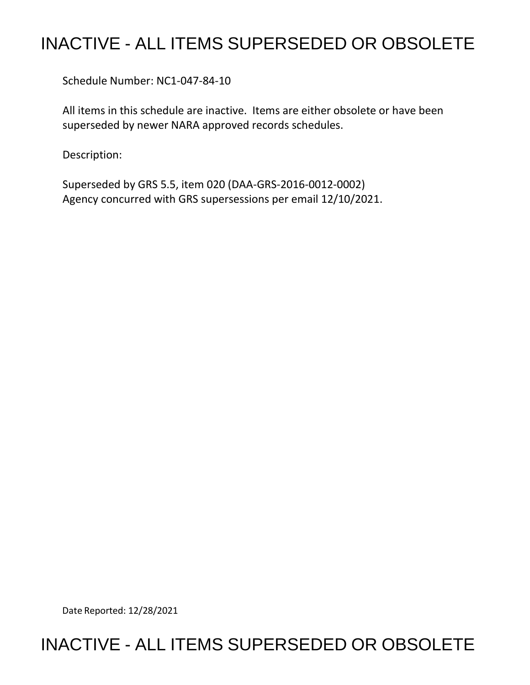## INACTIVE - ALL ITEMS SUPERSEDED OR OBSOLETE

Schedule Number: NC1-047-84-10

 All items in this schedule are inactive. Items are either obsolete or have been superseded by newer NARA approved records schedules.

Description:

 Superseded by GRS 5.5, item 020 (DAA-GRS-2016-0012-0002) Agency concurred with GRS supersessions per email 12/10/2021.

Date Reported: 12/28/2021

### INACTIVE - ALL ITEMS SUPERSEDED OR OBSOLETE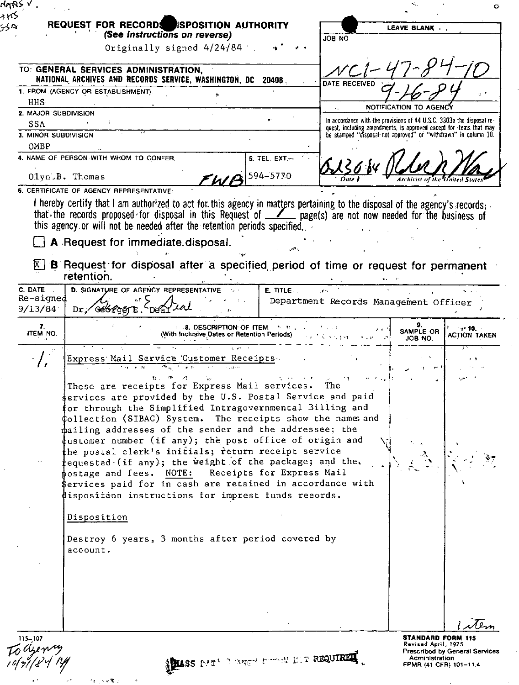|                             | REQUEST FOR RECORDS ESPOSITION AUTHORITY<br>(See Instructions on reverse)                                                   |                                                                                                                                                                                                                               | JOB NO        | LEAVE BLANK (                                                                                                                         |
|-----------------------------|-----------------------------------------------------------------------------------------------------------------------------|-------------------------------------------------------------------------------------------------------------------------------------------------------------------------------------------------------------------------------|---------------|---------------------------------------------------------------------------------------------------------------------------------------|
|                             | Originally signed 4/24/84 '                                                                                                 |                                                                                                                                                                                                                               |               |                                                                                                                                       |
|                             |                                                                                                                             |                                                                                                                                                                                                                               |               |                                                                                                                                       |
|                             | TO: GENERAL SERVICES ADMINISTRATION,                                                                                        |                                                                                                                                                                                                                               |               |                                                                                                                                       |
|                             | NATIONAL ARCHIVES AND RECORDS SERVICE, WASHINGTON, DC 20408.                                                                |                                                                                                                                                                                                                               | DATE RECEIVED |                                                                                                                                       |
|                             | 1. FROM (AGENCY OR ESTABLISHMENT)                                                                                           |                                                                                                                                                                                                                               |               |                                                                                                                                       |
| HHS.                        |                                                                                                                             |                                                                                                                                                                                                                               |               | NOTIFICATION TO AGENC                                                                                                                 |
| 2. MAJOR SUBDIVISION        |                                                                                                                             |                                                                                                                                                                                                                               |               | In accordance with the provisions of 44 U.S.C. 3303a the disposal re-                                                                 |
| SSA<br>3. MINOR SUBDIVISION |                                                                                                                             |                                                                                                                                                                                                                               |               | quest, including amendments, is approved except for items that may<br>be stamped "disposal not approved" or "withdrawn" in column 10. |
| OMBP                        |                                                                                                                             |                                                                                                                                                                                                                               |               |                                                                                                                                       |
|                             | 4. NAME OF PERSON WITH WHOM TO CONFER.                                                                                      | 5. TEL. EXT                                                                                                                                                                                                                   |               |                                                                                                                                       |
|                             |                                                                                                                             |                                                                                                                                                                                                                               |               |                                                                                                                                       |
|                             | $01yn:B.$ Thomas                                                                                                            | 594-5770<br>WA                                                                                                                                                                                                                |               |                                                                                                                                       |
|                             | 6. CERTIFICATE OF AGENCY REPRESENTATIVE:                                                                                    |                                                                                                                                                                                                                               |               |                                                                                                                                       |
|                             | I hereby certify that I am authorized to act for this agency in matters pertaining to the disposal of the agency's records; |                                                                                                                                                                                                                               |               |                                                                                                                                       |
|                             | that the records proposed for disposal in this Request of _______ page(s) are not now needed for the business of            |                                                                                                                                                                                                                               |               |                                                                                                                                       |
|                             | this agency or will not be needed after the retention periods specified.                                                    |                                                                                                                                                                                                                               |               |                                                                                                                                       |
|                             | A Request for immediate disposal.                                                                                           |                                                                                                                                                                                                                               |               |                                                                                                                                       |
|                             |                                                                                                                             |                                                                                                                                                                                                                               |               |                                                                                                                                       |
|                             | B Request for disposal after a specified period of time or request for permanent                                            |                                                                                                                                                                                                                               |               |                                                                                                                                       |
|                             | retention.                                                                                                                  |                                                                                                                                                                                                                               |               |                                                                                                                                       |
| C. DATE                     | D. SIGNATURE OF AGENCY REPRESENTATIVE                                                                                       | E. TITLE                                                                                                                                                                                                                      |               |                                                                                                                                       |
| Re-signed                   |                                                                                                                             |                                                                                                                                                                                                                               |               | Department Records Management Officer                                                                                                 |
| 9/13/84                     | Dr GeofgerE                                                                                                                 |                                                                                                                                                                                                                               |               |                                                                                                                                       |
| 7.                          |                                                                                                                             | <b>8. DESCRIPTION OF ITEM. 1. 1. 1. 1. 1.</b>                                                                                                                                                                                 |               | $+10.$                                                                                                                                |
| ITEM NO.                    |                                                                                                                             | (With Inclusive Dates or Retention Periods) And All Assets of the U.S. of the U.S. of the U.S. of the U.S. of the U.S. of the U.S. of the U.S. of the U.S. of the U.S. of the U.S. of the U.S. of the U.S. of the U.S. of the |               | SAMPLE OR<br>ACTION TAKEN<br>JOB NO.                                                                                                  |
|                             |                                                                                                                             |                                                                                                                                                                                                                               |               |                                                                                                                                       |
|                             | Express Mail Service Customer Receipts<br>$\overline{3}$ and $\overline{3}$ and $\overline{3}$<br>जि∝्र ∗क्ट                |                                                                                                                                                                                                                               |               |                                                                                                                                       |
|                             |                                                                                                                             |                                                                                                                                                                                                                               |               |                                                                                                                                       |
|                             | These are receipts for Express Mail services.                                                                               |                                                                                                                                                                                                                               | 'l he         |                                                                                                                                       |
|                             | ervices are provided by the U.S. Postal Service and paid                                                                    |                                                                                                                                                                                                                               |               |                                                                                                                                       |
|                             | or through the Simplified Intragovernmental Billing and                                                                     |                                                                                                                                                                                                                               |               |                                                                                                                                       |
|                             | ¢ollection (SIBAC) System. The receipts show the names and                                                                  |                                                                                                                                                                                                                               |               |                                                                                                                                       |
|                             | mailing addresses of the sender and the addressee; the                                                                      |                                                                                                                                                                                                                               |               |                                                                                                                                       |
|                             | tustomer number (if any); the post office of origin and                                                                     |                                                                                                                                                                                                                               |               |                                                                                                                                       |
|                             | the postal clerk's initials; return receipt service                                                                         |                                                                                                                                                                                                                               |               |                                                                                                                                       |
|                             | fequested (if any); the weight of the package; and the.                                                                     |                                                                                                                                                                                                                               |               |                                                                                                                                       |
|                             | postage and fees. NOTE: Receipts for Express Mail                                                                           |                                                                                                                                                                                                                               |               |                                                                                                                                       |
|                             | \$ervices paid for in cash are retained in accordance with                                                                  |                                                                                                                                                                                                                               |               |                                                                                                                                       |
|                             | dispositéon instructions for imprest funds reeords.                                                                         |                                                                                                                                                                                                                               |               |                                                                                                                                       |
|                             |                                                                                                                             |                                                                                                                                                                                                                               |               |                                                                                                                                       |
|                             | Disposition                                                                                                                 |                                                                                                                                                                                                                               |               |                                                                                                                                       |
|                             |                                                                                                                             |                                                                                                                                                                                                                               |               |                                                                                                                                       |
|                             | Destroy 6 years, 3 months after period covered by.                                                                          |                                                                                                                                                                                                                               |               |                                                                                                                                       |
|                             | account.                                                                                                                    |                                                                                                                                                                                                                               |               |                                                                                                                                       |
|                             |                                                                                                                             |                                                                                                                                                                                                                               |               |                                                                                                                                       |
|                             |                                                                                                                             |                                                                                                                                                                                                                               |               |                                                                                                                                       |
|                             |                                                                                                                             |                                                                                                                                                                                                                               |               |                                                                                                                                       |
|                             |                                                                                                                             |                                                                                                                                                                                                                               |               |                                                                                                                                       |
|                             |                                                                                                                             |                                                                                                                                                                                                                               |               |                                                                                                                                       |
|                             |                                                                                                                             |                                                                                                                                                                                                                               |               |                                                                                                                                       |
|                             |                                                                                                                             |                                                                                                                                                                                                                               |               |                                                                                                                                       |
| Todjeny                     |                                                                                                                             |                                                                                                                                                                                                                               |               | <b>STANDARD FORM 115</b><br>Revised April, 1975                                                                                       |

 $\hat{\mathbf{r}}$ 

 $\ddot{\phantom{0}}$ 

 $\ddot{\phantom{1}}$  $e^{\tilde{\varphi}}$  $\mathcal{A} \in \mathcal{A} \times \mathcal{R}$  .